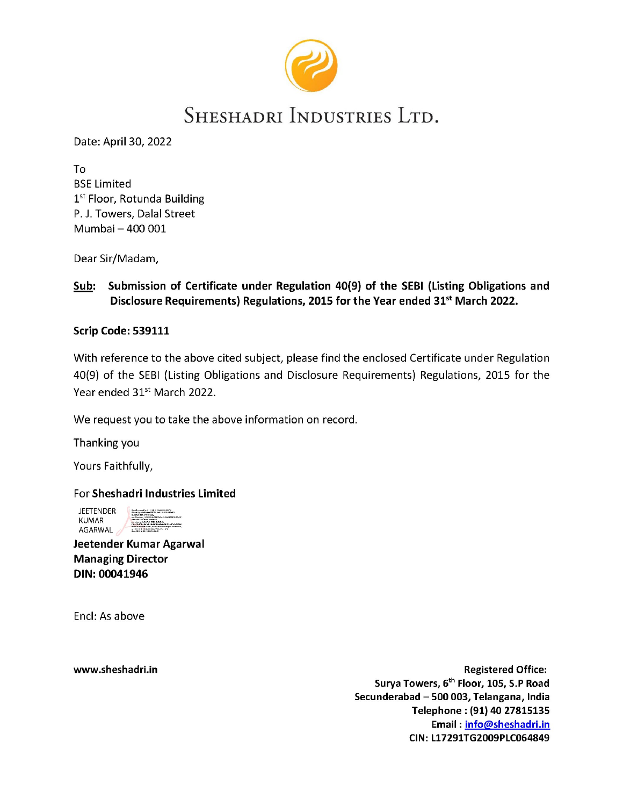

# SHESHADRI INDUSTRIES LTD.

Date: April 30, 2022

To BSE Limited 1st Floor, Rotunda Building P. J. Towers, Dalal Street Mumbai — 400 001

Dear Sir/Madam,

## Sub: Submission of Certificate under Regulation 40(9) of the SEBI (Listing Obligations and Disclosure Requirements) Regulations, 2015 for the Year ended 31<sup>st</sup> March 2022.

### Scrip Code: 539111

With reference to the above cited subject, please find the enclosed Certificate under Regulation 40(9) of the SEBI (Listing Obligations and Disclosure Requirements) Regulations, 2015 for the Year ended 31<sup>st</sup> March 2022.

We request you to take the above information on record.

Thanking you

Yours Faithfully,

### For Sheshadri Industries Limited

**JEETENDER** KUMAR AGARWAL

Jeetender Kumar Agarwal Managing Director DIN: 00041946

Encl: As above

www.sheshadri.in **Example 2018** and 2019 and 2019 and 2019 and 2019 and 2019 and 2019 and 2019 and 2019 and 2019 and 2019 and 2019 and 2019 and 2019 and 2019 and 2019 and 2019 and 2019 and 2019 and 2019 and 2019 and 2019 a Surya Towers, 6<sup>th</sup> Floor, 105, S.P Road Secunderabad — 500 003, Telangana, India Telephone : (91) 40 27815135 Email : info@sheshadri.in CIN: L17291TG2009PLCO64849